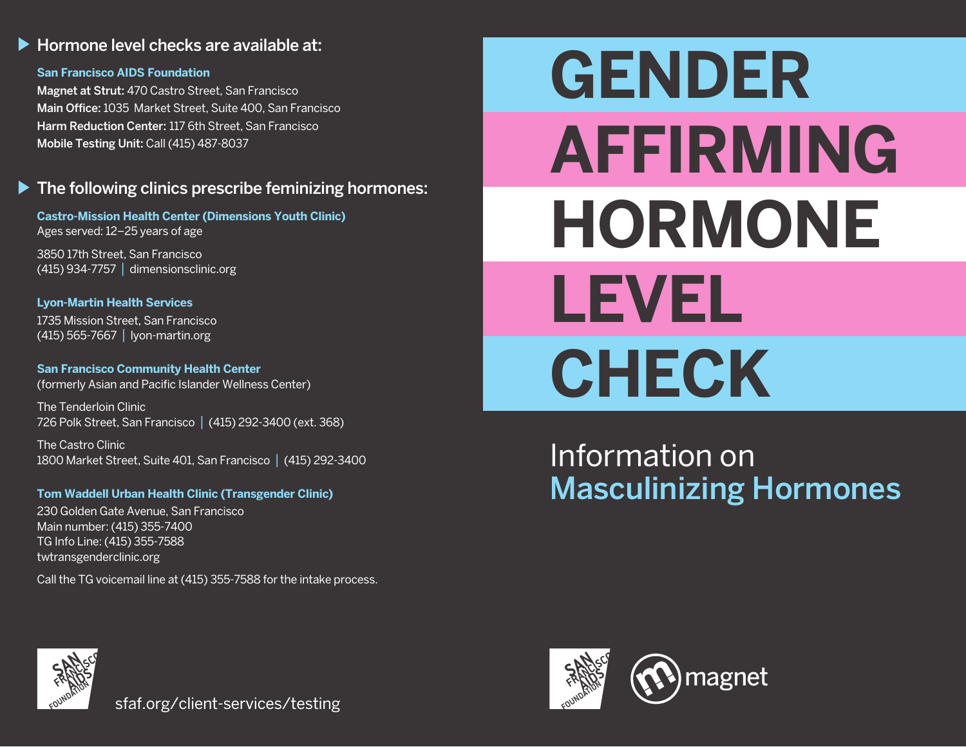## Hormone level checks are available at:

#### **San Francisco AIDS Foundation**

Magnet at Strut: 470 Castro Street, San Francisco Main Office: 1035 Market Street, Suite 400, San Francisco Harm Reduction Center: 117 6th Street, San Francisco Mobile Testing Unit: Call (415) 487-8037

#### $\blacktriangleright$  The following clinics prescribe feminizing hormones:

**Castro-Mission Health Center (Dimensions Youth Clinic)** Ages served: 12–25 years of age

3850 17th Street, San Francisco (415) 934-7757 | dimensionsclinic.org

**Lyon-Martin Health Services** 1735 Mission Street, San Francisco (415) 565-7667 | lyon-martin.org

**San Francisco Community Health Center** (formerly Asian and Pacific Islander Wellness Center)

The Tenderloin Clinic 726 Polk Street, San Francisco | (415) 292-3400 (ext. 368)

The Castro Clinic 1800 Market Street, Suite 401, San Francisco | (415) 292-3400

#### **Tom Waddell Urban Health Clinic (Transgender Clinic)**

230 Golden Gate Avenue, San Francisco Main number: (415) 355-7400 TG Info Line: (415) 355-7588 twtransgenderclinic.org

Call the TG voicemail line at (415) 355-7588 for the intake process.

# **GENDER AFFIRMING HORMONE LEVEL CHECK**

# Information on Masculinizing Hormones



sfaf.org/client-services/testing